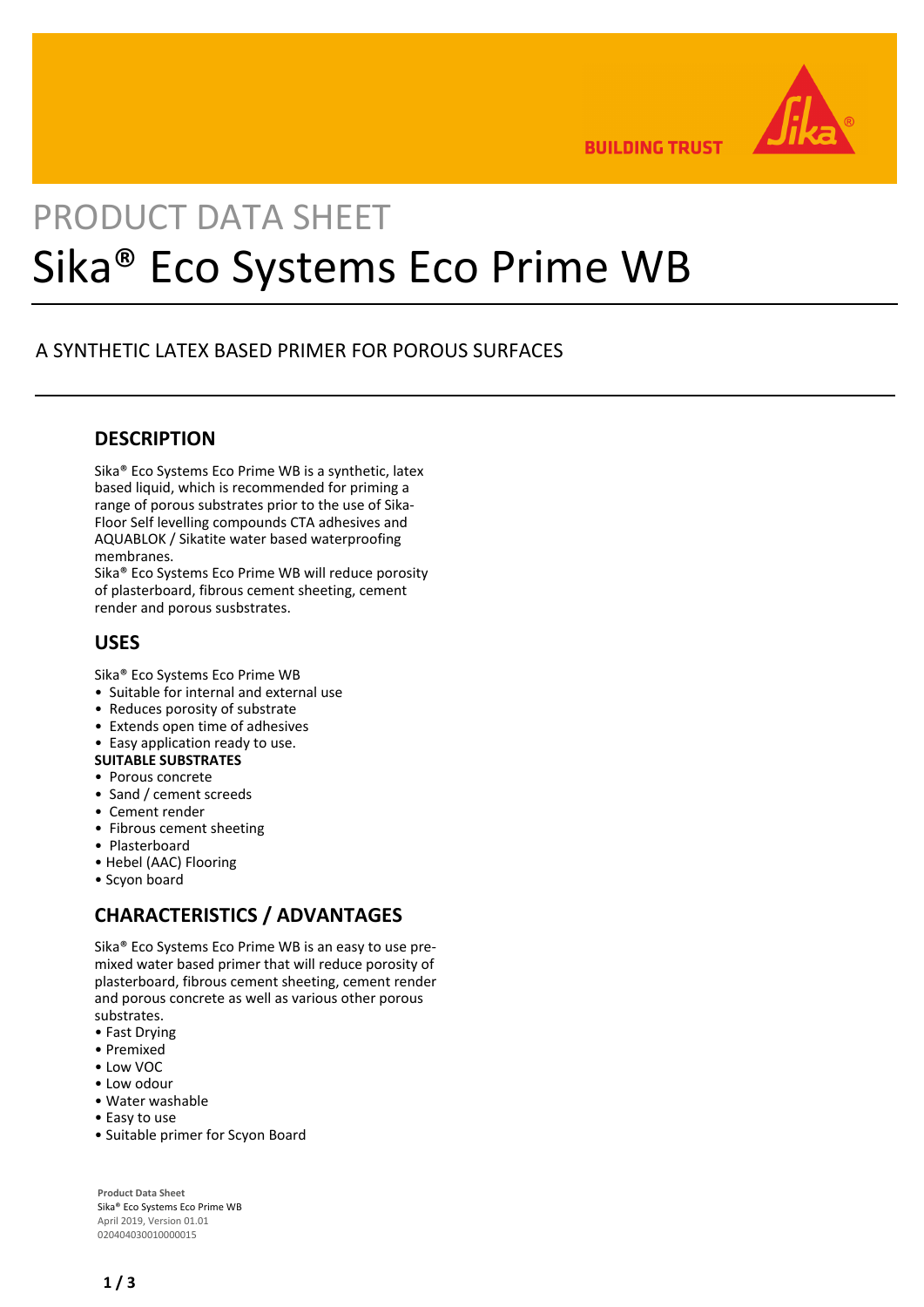

**BUILDING TRUST** 

# PRODUCT DATA SHEET Sika® Eco Systems Eco Prime WB

# A SYNTHETIC LATEX BASED PRIMER FOR POROUS SURFACES

## **DESCRIPTION**

Sika® Eco Systems Eco Prime WB is a synthetic, latex based liquid, which is recommended for priming a range of porous substrates prior to the use of Sika-Floor Self levelling compounds CTA adhesives and AQUABLOK / Sikatite water based waterproofing membranes.

Sika® Eco Systems Eco Prime WB will reduce porosity of plasterboard, fibrous cement sheeting, cement render and porous susbstrates.

## **USES**

Sika® Eco Systems Eco Prime WB

- Suitable for internal and external use
- Reduces porosity of substrate
- Extends open time of adhesives
- Easy application ready to use.
- **SUITABLE SUBSTRATES**
- Porous concrete
- Sand / cement screeds
- Cement render
- Fibrous cement sheeting
- Plasterboard
- Hebel (AAC) Flooring
- Scyon board

# **CHARACTERISTICS / ADVANTAGES**

Sika® Eco Systems Eco Prime WB is an easy to use premixed water based primer that will reduce porosity of plasterboard, fibrous cement sheeting, cement render and porous concrete as well as various other porous substrates.

- Fast Drying
- Premixed
- Low VOC
- Low odour
- Water washable
- Easy to use
- Suitable primer for Scyon Board

**Product Data Sheet** Sika® Eco Systems Eco Prime WB April 2019, Version 01.01 020404030010000015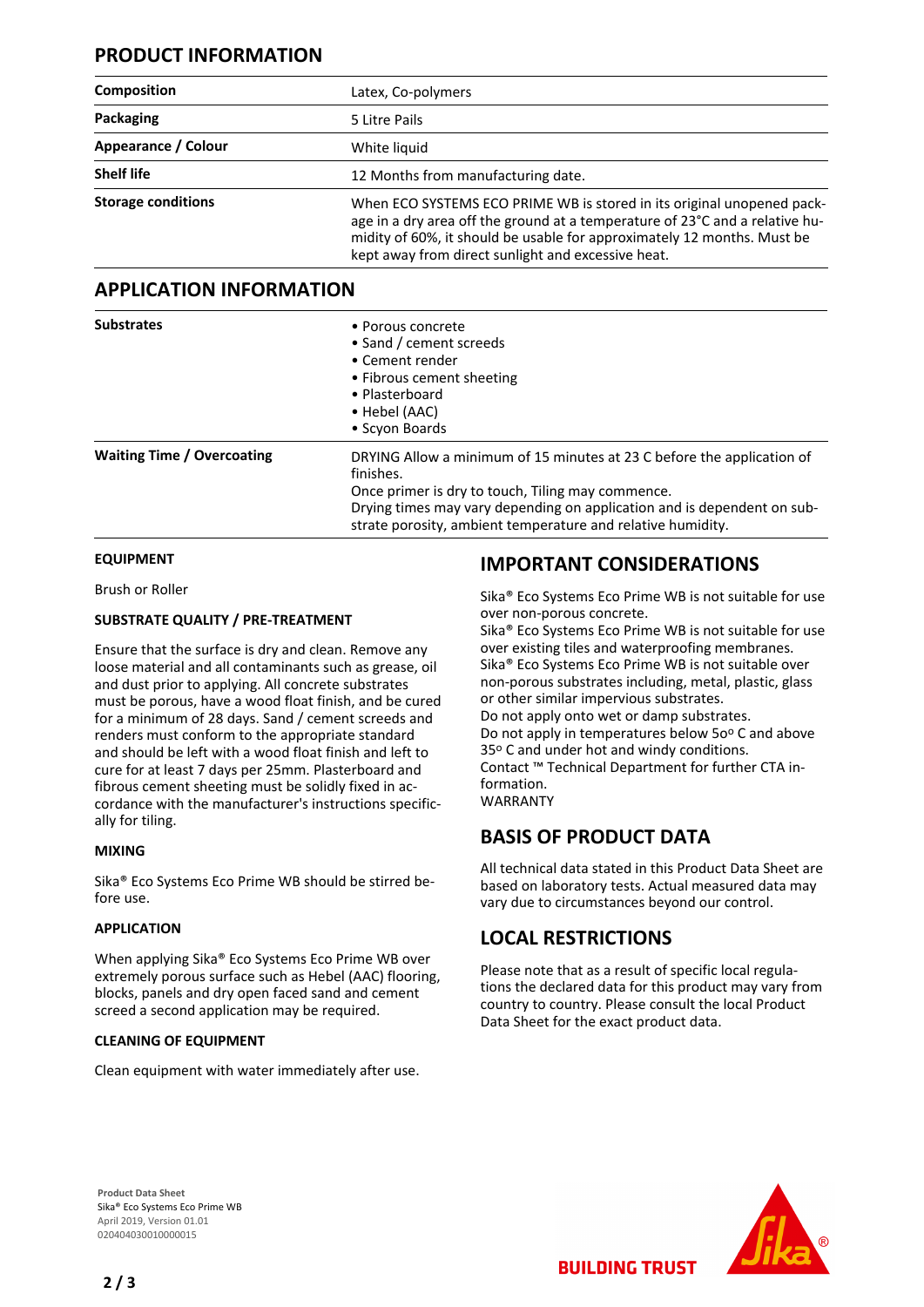## **PRODUCT INFORMATION**

| <b>Composition</b>        | Latex, Co-polymers                                                                                                                                                                                                                                                                      |
|---------------------------|-----------------------------------------------------------------------------------------------------------------------------------------------------------------------------------------------------------------------------------------------------------------------------------------|
| Packaging                 | 5 Litre Pails                                                                                                                                                                                                                                                                           |
| Appearance / Colour       | White liquid                                                                                                                                                                                                                                                                            |
| <b>Shelf life</b>         | 12 Months from manufacturing date.                                                                                                                                                                                                                                                      |
| <b>Storage conditions</b> | When ECO SYSTEMS ECO PRIME WB is stored in its original unopened pack-<br>age in a dry area off the ground at a temperature of 23°C and a relative hu-<br>midity of 60%, it should be usable for approximately 12 months. Must be<br>kept away from direct sunlight and excessive heat. |

### **APPLICATION INFORMATION**

| <b>Substrates</b>                 | • Porous concrete<br>• Sand / cement screeds<br>• Cement render<br>• Fibrous cement sheeting<br>• Plasterboard<br>• Hebel (AAC)<br>• Scyon Boards                                                                                                                                  |
|-----------------------------------|------------------------------------------------------------------------------------------------------------------------------------------------------------------------------------------------------------------------------------------------------------------------------------|
| <b>Waiting Time / Overcoating</b> | DRYING Allow a minimum of 15 minutes at 23 C before the application of<br>finishes.<br>Once primer is dry to touch, Tiling may commence.<br>Drying times may vary depending on application and is dependent on sub-<br>strate porosity, ambient temperature and relative humidity. |

#### **EQUIPMENT**

Brush or Roller

#### **SUBSTRATE QUALITY / PRE-TREATMENT**

Ensure that the surface is dry and clean. Remove any loose material and all contaminants such as grease, oil and dust prior to applying. All concrete substrates must be porous, have a wood float finish, and be cured for a minimum of 28 days. Sand / cement screeds and renders must conform to the appropriate standard and should be left with a wood float finish and left to cure for at least 7 days per 25mm. Plasterboard and fibrous cement sheeting must be solidly fixed in accordance with the manufacturer's instructions specifically for tiling.

#### **MIXING**

Sika® Eco Systems Eco Prime WB should be stirred before use.

#### **APPLICATION**

When applying Sika® Eco Systems Eco Prime WB over extremely porous surface such as Hebel (AAC) flooring, blocks, panels and dry open faced sand and cement screed a second application may be required.

#### **CLEANING OF EQUIPMENT**

Clean equipment with water immediately after use.

## **IMPORTANT CONSIDERATIONS**

Sika® Eco Systems Eco Prime WB is not suitable for use over non-porous concrete.

Sika® Eco Systems Eco Prime WB is not suitable for use over existing tiles and waterproofing membranes. Sika® Eco Systems Eco Prime WB is not suitable over non-porous substrates including, metal, plastic, glass or other similar impervious substrates. Do not apply onto wet or damp substrates. Do not apply in temperatures below 50° C and above 35° C and under hot and windy conditions. Contact ™ Technical Department for further CTA information. WARRANTY

# **BASIS OF PRODUCT DATA**

All technical data stated in this Product Data Sheet are based on laboratory tests. Actual measured data may vary due to circumstances beyond our control.

## **LOCAL RESTRICTIONS**

Please note that as a result of specific local regulations the declared data for this product may vary from country to country. Please consult the local Product Data Sheet for the exact product data.

**BUILDING TRUST** 

**Product Data Sheet** Sika® Eco Systems Eco Prime WB April 2019, Version 01.01 020404030010000015